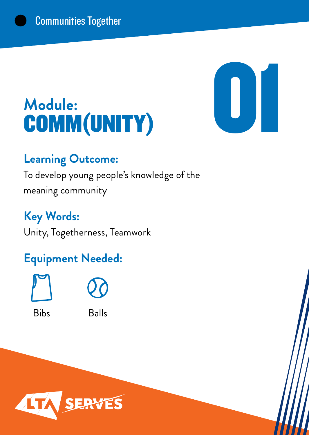## **Module:** Module:<br> **COMM(UNITY)**



### **Learning Outcome:**

To develop young people's knowledge of the meaning community

**Key Words:** Unity, Togetherness, Teamwork

### **Equipment Needed:**





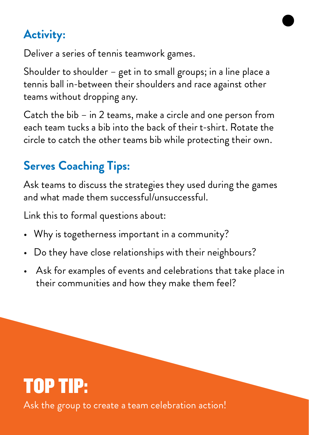Deliver a series of tennis teamwork games.

Shoulder to shoulder – get in to small groups; in a line place a tennis ball in-between their shoulders and race against other teams without dropping any.

Catch the bib – in 2 teams, make a circle and one person from each team tucks a bib into the back of their t-shirt. Rotate the circle to catch the other teams bib while protecting their own.

### **Serves Coaching Tips:**

Ask teams to discuss the strategies they used during the games and what made them successful/unsuccessful.

Link this to formal questions about:

- Why is togetherness important in a community?
- Do they have close relationships with their neighbours?
- Ask for examples of events and celebrations that take place in their communities and how they make them feel?

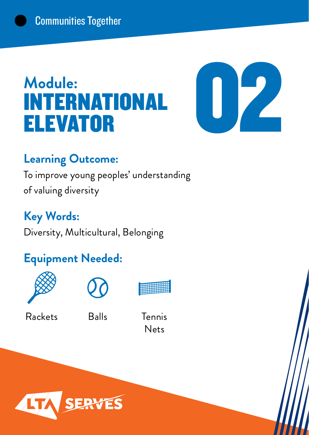## **Module:** INTERNATIONAL



### **Learning Outcome:**

To improve young peoples' understanding of valuing diversity

**Key Words:** Diversity, Multicultural, Belonging

### **Equipment Needed:**





Rackets



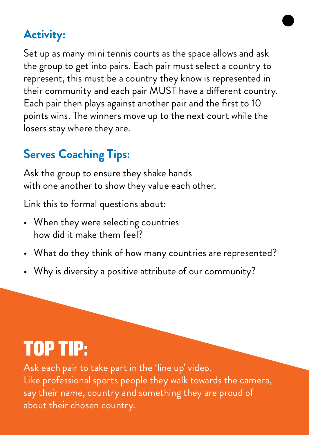Set up as many mini tennis courts as the space allows and ask the group to get into pairs. Each pair must select a country to represent, this must be a country they know is represented in their community and each pair MUST have a different country. Each pair then plays against another pair and the first to 10 points wins. The winners move up to the next court while the losers stay where they are.

### **Serves Coaching Tips:**

Ask the group to ensure they shake hands with one another to show they value each other.

Link this to formal questions about:

- When they were selecting countries how did it make them feel?
- What do they think of how many countries are represented?
- Why is diversity a positive attribute of our community?

## TOP TIP:

Ask each pair to take part in the 'line up' video. Like professional sports people they walk towards the camera, say their name, country and something they are proud of about their chosen country.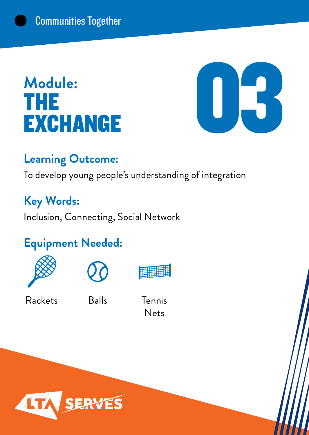## **Module: THE<br>EXCHANGE**



### **Learning Outcome:**

To develop young people's understanding of integration

### **Key Words:**

Inclusion, Connecting, Social Network

### **Equipment Needed:**





Rackets

Balls Tennis Nets

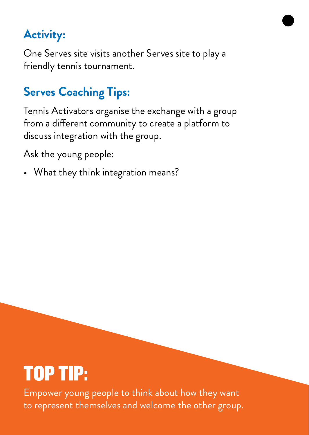One Serves site visits another Serves site to play a friendly tennis tournament.

### **Serves Coaching Tips:**

Tennis Activators organise the exchange with a group from a different community to create a platform to discuss integration with the group.

Ask the young people:

• What they think integration means?

## TOP TIP:

Empower young people to think about how they want to represent themselves and welcome the other group.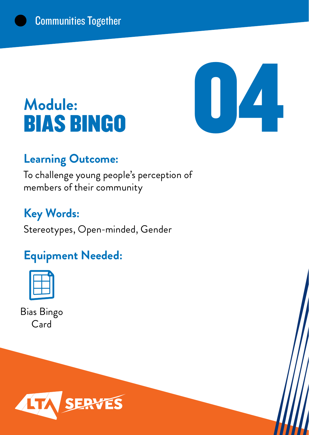# $\blacksquare$

## **Module:**

### **Learning Outcome:**

To challenge young people's perception of members of their community

### **Key Words:**

Stereotypes, Open-minded, Gender

### **Equipment Needed:**



Bias Bingo Card

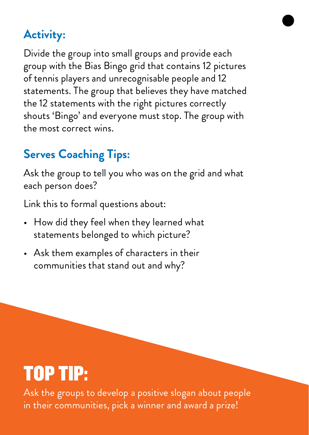Divide the group into small groups and provide each group with the Bias Bingo grid that contains 12 pictures of tennis players and unrecognisable people and 12 statements. The group that believes they have matched the 12 statements with the right pictures correctly shouts 'Bingo' and everyone must stop. The group with the most correct wins.

### **Serves Coaching Tips:**

Ask the group to tell you who was on the grid and what each person does?

Link this to formal questions about:

- How did they feel when they learned what statements belonged to which picture?
- Ask them examples of characters in their communities that stand out and why?

## TOP TIP:

Ask the groups to develop a positive slogan about people in their communities, pick a winner and award a prize!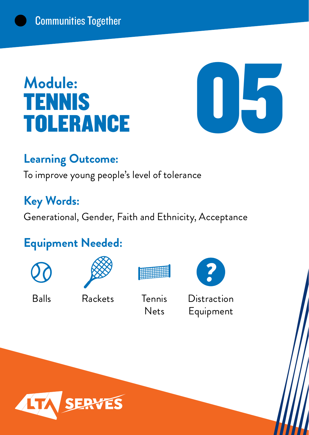## **Module: TENNIS<br>TOLERANCE**



### **Learning Outcome:**

To improve young people's level of tolerance

### **Key Words:**

Generational, Gender, Faith and Ethnicity, Acceptance

### **Equipment Needed:**







Balls Rackets Tennis Nets



**Distraction** Equipment

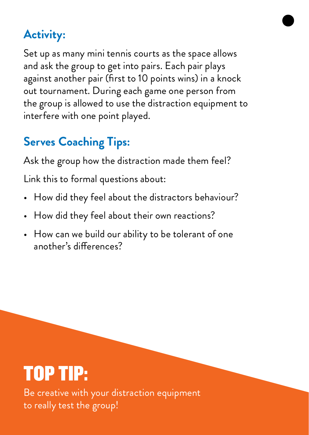Set up as many mini tennis courts as the space allows and ask the group to get into pairs. Each pair plays against another pair (first to 10 points wins) in a knock out tournament. During each game one person from the group is allowed to use the distraction equipment to interfere with one point played.

### **Serves Coaching Tips:**

Ask the group how the distraction made them feel?

Link this to formal questions about:

- How did they feel about the distractors behaviour?
- How did they feel about their own reactions?
- How can we build our ability to be tolerant of one another's differences?

## TOP TIP:

Be creative with your distraction equipment to really test the group!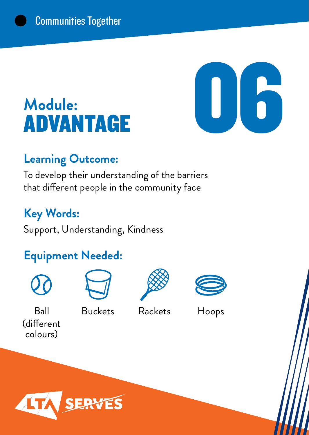## **Module:** Module:<br>ADVANTAGE

#### **Learning Outcome:**

To develop their understanding of the barriers that different people in the community face

### **Key Words:**

Support, Understanding, Kindness

### **Equipment Needed:**



Ball (different colours)



Buckets Rackets Hoops





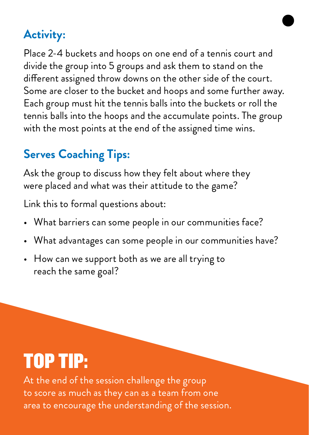Place 2-4 buckets and hoops on one end of a tennis court and divide the group into 5 groups and ask them to stand on the different assigned throw downs on the other side of the court. Some are closer to the bucket and hoops and some further away. Each group must hit the tennis balls into the buckets or roll the tennis balls into the hoops and the accumulate points. The group with the most points at the end of the assigned time wins.

### **Serves Coaching Tips:**

Ask the group to discuss how they felt about where they were placed and what was their attitude to the game?

Link this to formal questions about:

- What barriers can some people in our communities face?
- What advantages can some people in our communities have?
- How can we support both as we are all trying to reach the same goal?

## TOP TIP:

At the end of the session challenge the group to score as much as they can as a team from one area to encourage the understanding of the session.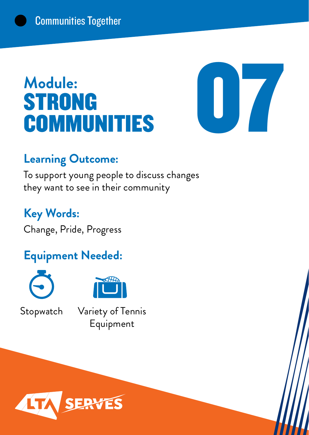### **Module:** STRONG Module:<br>STRONG<br>COMMUNITIES



### **Learning Outcome:**

To support young people to discuss changes they want to see in their community

### **Key Words:**

Change, Pride, Progress

### **Equipment Needed:**





Stopwatch Variety of Tennis Equipment

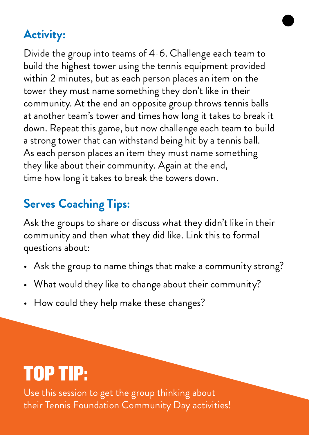Divide the group into teams of 4-6. Challenge each team to build the highest tower using the tennis equipment provided within 2 minutes, but as each person places an item on the tower they must name something they don't like in their community. At the end an opposite group throws tennis balls at another team's tower and times how long it takes to break it down. Repeat this game, but now challenge each team to build a strong tower that can withstand being hit by a tennis ball. As each person places an item they must name something they like about their community. Again at the end, time how long it takes to break the towers down.

### **Serves Coaching Tips:**

Ask the groups to share or discuss what they didn't like in their community and then what they did like. Link this to formal questions about:

- Ask the group to name things that make a community strong?
- What would they like to change about their community?
- How could they help make these changes?

## TOP TIP:

Use this session to get the group thinking about their Tennis Foundation Community Day activities!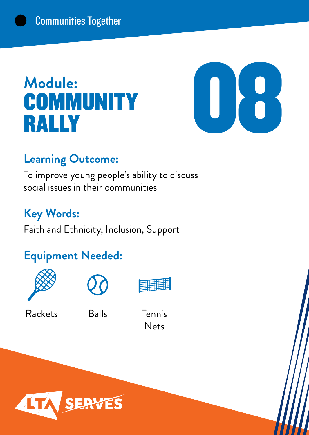## **Module: COMMUNITY**<br>RALLY



### **Learning Outcome:**

To improve young people's ability to discuss social issues in their communities

### **Key Words:**

Faith and Ethnicity, Inclusion, Support

### **Equipment Needed:**







Rackets

Balls Tennis

Nets

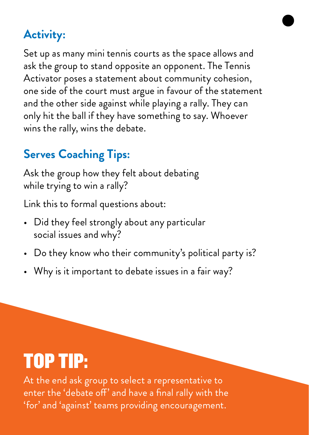Set up as many mini tennis courts as the space allows and ask the group to stand opposite an opponent. The Tennis Activator poses a statement about community cohesion, one side of the court must argue in favour of the statement and the other side against while playing a rally. They can only hit the ball if they have something to say. Whoever wins the rally, wins the debate.

### **Serves Coaching Tips:**

Ask the group how they felt about debating while trying to win a rally?

Link this to formal questions about:

- Did they feel strongly about any particular social issues and why?
- Do they know who their community's political party is?
- Why is it important to debate issues in a fair way?

## TOP TIP:

At the end ask group to select a representative to enter the 'debate off' and have a final rally with the 'for' and 'against' teams providing encouragement.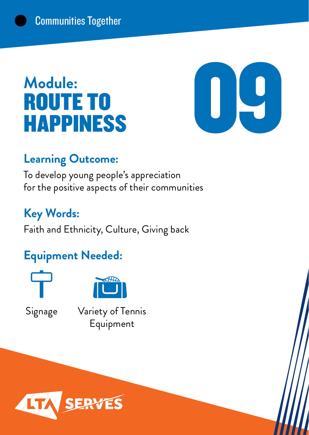## **Module:** ROUTE TO



### **Learning Outcome:**

To develop young people's appreciation for the positive aspects of their communities

### **Key Words:**

Faith and Ethnicity, Culture, Giving back

### **Equipment Needed:**





Signage Variety of Tennis Equipment